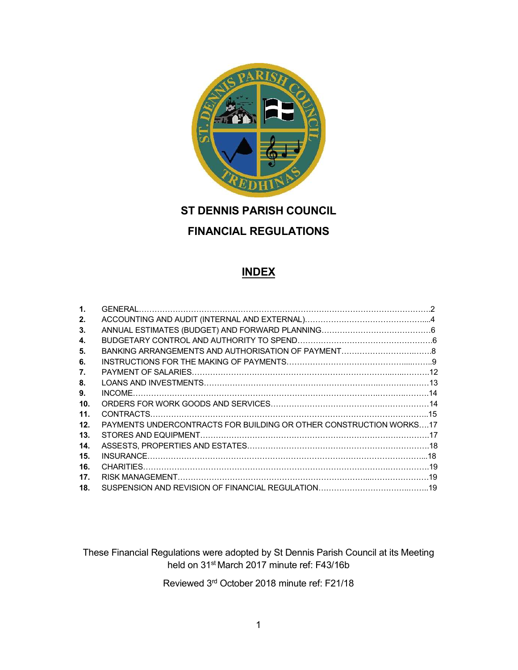

# ST DENNIS PARISH COUNCIL

# FINANCIAL REGULATIONS

# INDEX

| $\mathbf 1$ . |                                                                    |  |
|---------------|--------------------------------------------------------------------|--|
| 2.            |                                                                    |  |
| 3.            |                                                                    |  |
| 4.            |                                                                    |  |
| 5.            |                                                                    |  |
| 6.            |                                                                    |  |
| 7.            |                                                                    |  |
| 8.            |                                                                    |  |
| 9.            |                                                                    |  |
| 10.           |                                                                    |  |
| 11.           |                                                                    |  |
| 12.           | PAYMENTS UNDERCONTRACTS FOR BUILDING OR OTHER CONSTRUCTION WORKS17 |  |
| 13.           |                                                                    |  |
| 14.           |                                                                    |  |
| 15.           |                                                                    |  |
| 16.           |                                                                    |  |
| 17.           |                                                                    |  |
| 18.           |                                                                    |  |

These Financial Regulations were adopted by St Dennis Parish Council at its Meeting held on 31st March 2017 minute ref: F43/16b

Reviewed 3rd October 2018 minute ref: F21/18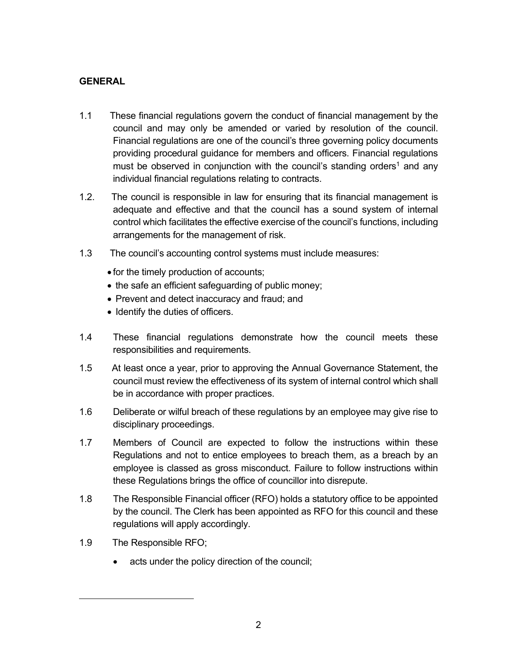### GENERAL

- 1.1 These financial regulations govern the conduct of financial management by the council and may only be amended or varied by resolution of the council. Financial regulations are one of the council's three governing policy documents providing procedural guidance for members and officers. Financial regulations must be observed in conjunction with the council's standing orders<sup>1</sup> and any individual financial regulations relating to contracts.
- 1.2. The council is responsible in law for ensuring that its financial management is adequate and effective and that the council has a sound system of internal control which facilitates the effective exercise of the council's functions, including arrangements for the management of risk.
- 1.3 The council's accounting control systems must include measures:
	- for the timely production of accounts;
	- the safe an efficient safeguarding of public money;
	- Prevent and detect inaccuracy and fraud; and
	- Identify the duties of officers.
- 1.4 These financial regulations demonstrate how the council meets these responsibilities and requirements.
- 1.5 At least once a year, prior to approving the Annual Governance Statement, the council must review the effectiveness of its system of internal control which shall be in accordance with proper practices.
- 1.6 Deliberate or wilful breach of these regulations by an employee may give rise to disciplinary proceedings.
- 1.7 Members of Council are expected to follow the instructions within these Regulations and not to entice employees to breach them, as a breach by an employee is classed as gross misconduct. Failure to follow instructions within these Regulations brings the office of councillor into disrepute.
- 1.8 The Responsible Financial officer (RFO) holds a statutory office to be appointed by the council. The Clerk has been appointed as RFO for this council and these regulations will apply accordingly.
- 1.9 The Responsible RFO;
	- acts under the policy direction of the council;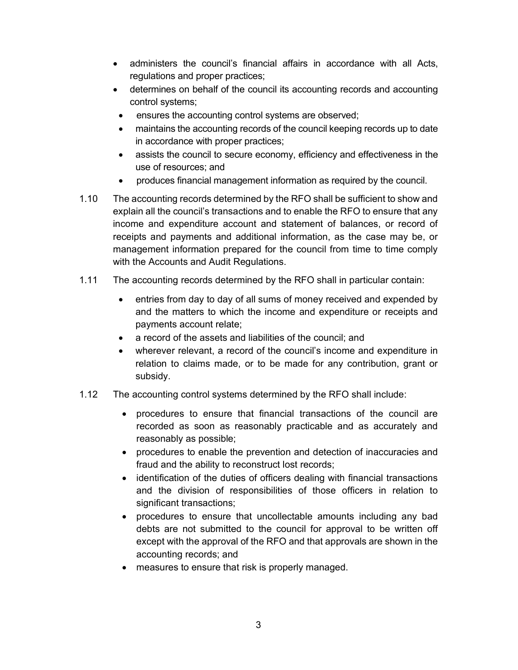- administers the council's financial affairs in accordance with all Acts, regulations and proper practices;
- determines on behalf of the council its accounting records and accounting control systems;
	- **e** ensures the accounting control systems are observed;
	- maintains the accounting records of the council keeping records up to date in accordance with proper practices;
	- assists the council to secure economy, efficiency and effectiveness in the use of resources; and
	- produces financial management information as required by the council.
- 1.10 The accounting records determined by the RFO shall be sufficient to show and explain all the council's transactions and to enable the RFO to ensure that any income and expenditure account and statement of balances, or record of receipts and payments and additional information, as the case may be, or management information prepared for the council from time to time comply with the Accounts and Audit Regulations.
- 1.11 The accounting records determined by the RFO shall in particular contain:
	- entries from day to day of all sums of money received and expended by and the matters to which the income and expenditure or receipts and payments account relate;
	- a record of the assets and liabilities of the council: and
	- wherever relevant, a record of the council's income and expenditure in relation to claims made, or to be made for any contribution, grant or subsidy.
- 1.12 The accounting control systems determined by the RFO shall include:
	- procedures to ensure that financial transactions of the council are recorded as soon as reasonably practicable and as accurately and reasonably as possible;
	- procedures to enable the prevention and detection of inaccuracies and fraud and the ability to reconstruct lost records;
	- identification of the duties of officers dealing with financial transactions and the division of responsibilities of those officers in relation to significant transactions;
	- procedures to ensure that uncollectable amounts including any bad debts are not submitted to the council for approval to be written off except with the approval of the RFO and that approvals are shown in the accounting records; and
	- measures to ensure that risk is properly managed.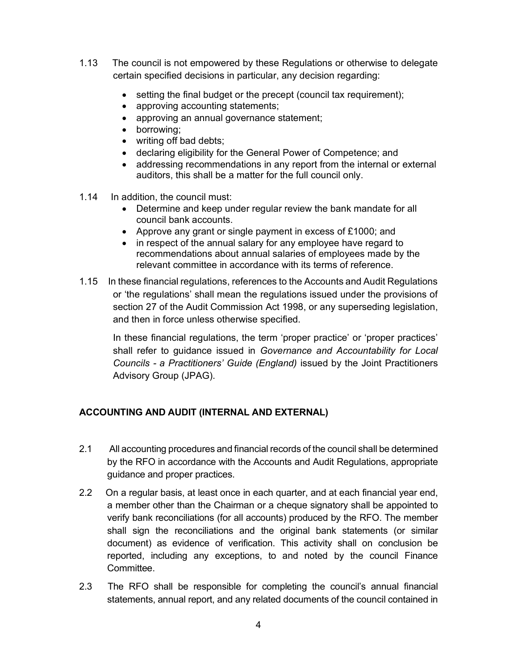- 1.13 The council is not empowered by these Regulations or otherwise to delegate certain specified decisions in particular, any decision regarding:
	- setting the final budget or the precept (council tax requirement);
	- approving accounting statements;
	- approving an annual governance statement;
	- borrowing;
	- writing off bad debts;
	- declaring eligibility for the General Power of Competence; and
	- addressing recommendations in any report from the internal or external auditors, this shall be a matter for the full council only.
- 1.14 In addition, the council must:
	- Determine and keep under regular review the bank mandate for all council bank accounts.
	- Approve any grant or single payment in excess of £1000; and
	- in respect of the annual salary for any employee have regard to recommendations about annual salaries of employees made by the relevant committee in accordance with its terms of reference.
- 1.15 In these financial regulations, references to the Accounts and Audit Regulations or 'the regulations' shall mean the regulations issued under the provisions of section 27 of the Audit Commission Act 1998, or any superseding legislation, and then in force unless otherwise specified.

In these financial regulations, the term 'proper practice' or 'proper practices' shall refer to guidance issued in Governance and Accountability for Local Councils - a Practitioners' Guide (England) issued by the Joint Practitioners Advisory Group (JPAG).

### ACCOUNTING AND AUDIT (INTERNAL AND EXTERNAL)

- 2.1 All accounting procedures and financial records of the council shall be determined by the RFO in accordance with the Accounts and Audit Regulations, appropriate guidance and proper practices.
- 2.2 On a regular basis, at least once in each quarter, and at each financial year end, a member other than the Chairman or a cheque signatory shall be appointed to verify bank reconciliations (for all accounts) produced by the RFO. The member shall sign the reconciliations and the original bank statements (or similar document) as evidence of verification. This activity shall on conclusion be reported, including any exceptions, to and noted by the council Finance Committee.
- 2.3 The RFO shall be responsible for completing the council's annual financial statements, annual report, and any related documents of the council contained in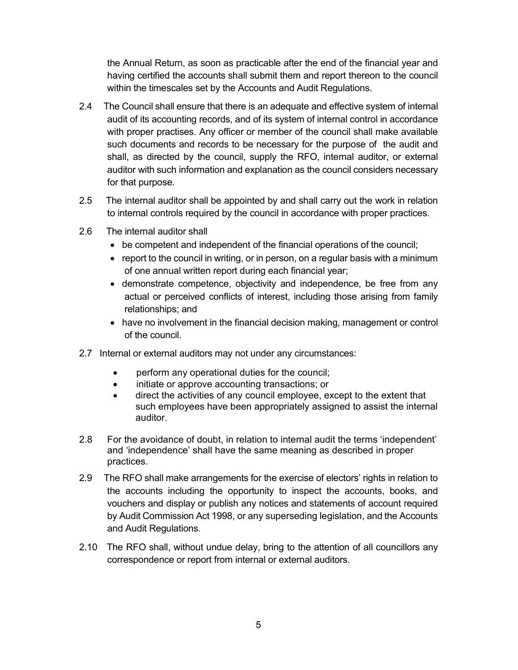the Annual Return, as soon as practicable after the end of the financial year and having certified the accounts shall submit them and report thereon to the council within the timescales set by the Accounts and Audit Regulations.

- 2.4 The Council shall ensure that there is an adequate and effective system of internal audit of its accounting records, and of its system of internal control in accordance with proper practises. Any officer or member of the council shall make available such documents and records to be necessary for the purpose of the audit and shall, as directed by the council, supply the RFO, internal auditor, or external auditor with such information and explanation as the council considers necessary for that purpose.
- 2.5 The internal auditor shall be appointed by and shall carry out the work in relation to internal controls required by the council in accordance with proper practices.
- 2.6 The internal auditor shall
	- be competent and independent of the financial operations of the council;
	- report to the council in writing, or in person, on a regular basis with a minimum of one annual written report during each financial year;
	- demonstrate competence, objectivity and independence, be free from any actual or perceived conflicts of interest, including those arising from family relationships; and
	- have no involvement in the financial decision making, management or control of the council.
- 2.7 Internal or external auditors may not under any circumstances:
	- perform any operational duties for the council;
	- initiate or approve accounting transactions; or
	- direct the activities of any council employee, except to the extent that such employees have been appropriately assigned to assist the internal auditor.
- 2.8 For the avoidance of doubt, in relation to internal audit the terms 'independent' and 'independence' shall have the same meaning as described in proper practices.
- 2.9 The RFO shall make arrangements for the exercise of electors' rights in relation to the accounts including the opportunity to inspect the accounts, books, and vouchers and display or publish any notices and statements of account required by Audit Commission Act 1998, or any superseding legislation, and the Accounts and Audit Regulations.
- 2.10 The RFO shall, without undue delay, bring to the attention of all councillors any correspondence or report from internal or external auditors.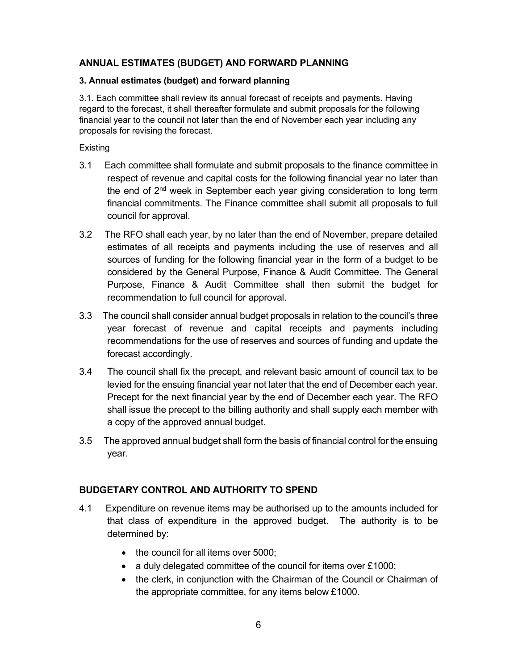## ANNUAL ESTIMATES (BUDGET) AND FORWARD PLANNING

#### 3. Annual estimates (budget) and forward planning

3.1. Each committee shall review its annual forecast of receipts and payments. Having regard to the forecast, it shall thereafter formulate and submit proposals for the following financial year to the council not later than the end of November each year including any proposals for revising the forecast.

#### **Existing**

- 3.1 Each committee shall formulate and submit proposals to the finance committee in respect of revenue and capital costs for the following financial year no later than the end of 2<sup>nd</sup> week in September each year giving consideration to long term financial commitments. The Finance committee shall submit all proposals to full council for approval.
- 3.2 The RFO shall each year, by no later than the end of November, prepare detailed estimates of all receipts and payments including the use of reserves and all sources of funding for the following financial year in the form of a budget to be considered by the General Purpose, Finance & Audit Committee. The General Purpose, Finance & Audit Committee shall then submit the budget for recommendation to full council for approval.
- 3.3 The council shall consider annual budget proposals in relation to the council's three year forecast of revenue and capital receipts and payments including recommendations for the use of reserves and sources of funding and update the forecast accordingly.
- 3.4 The council shall fix the precept, and relevant basic amount of council tax to be levied for the ensuing financial year not later that the end of December each year. Precept for the next financial year by the end of December each year. The RFO shall issue the precept to the billing authority and shall supply each member with a copy of the approved annual budget.
- 3.5 The approved annual budget shall form the basis of financial control for the ensuing year.

### BUDGETARY CONTROL AND AUTHORITY TO SPEND

- 4.1 Expenditure on revenue items may be authorised up to the amounts included for that class of expenditure in the approved budget. The authority is to be determined by:
	- $\bullet$  the council for all items over 5000;
	- a duly delegated committee of the council for items over £1000;
	- the clerk, in conjunction with the Chairman of the Council or Chairman of the appropriate committee, for any items below £1000.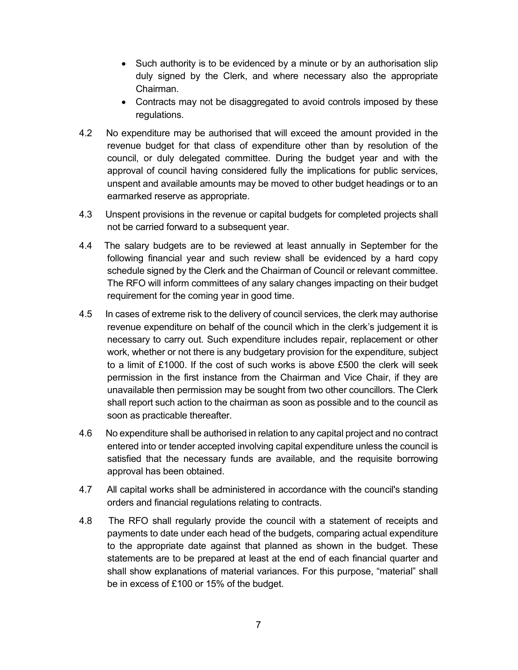- Such authority is to be evidenced by a minute or by an authorisation slip duly signed by the Clerk, and where necessary also the appropriate Chairman.
- Contracts may not be disaggregated to avoid controls imposed by these regulations.
- 4.2 No expenditure may be authorised that will exceed the amount provided in the revenue budget for that class of expenditure other than by resolution of the council, or duly delegated committee. During the budget year and with the approval of council having considered fully the implications for public services, unspent and available amounts may be moved to other budget headings or to an earmarked reserve as appropriate.
- 4.3 Unspent provisions in the revenue or capital budgets for completed projects shall not be carried forward to a subsequent year.
- 4.4 The salary budgets are to be reviewed at least annually in September for the following financial year and such review shall be evidenced by a hard copy schedule signed by the Clerk and the Chairman of Council or relevant committee. The RFO will inform committees of any salary changes impacting on their budget requirement for the coming year in good time.
- 4.5 In cases of extreme risk to the delivery of council services, the clerk may authorise revenue expenditure on behalf of the council which in the clerk's judgement it is necessary to carry out. Such expenditure includes repair, replacement or other work, whether or not there is any budgetary provision for the expenditure, subject to a limit of £1000. If the cost of such works is above £500 the clerk will seek permission in the first instance from the Chairman and Vice Chair, if they are unavailable then permission may be sought from two other councillors. The Clerk shall report such action to the chairman as soon as possible and to the council as soon as practicable thereafter.
- 4.6 No expenditure shall be authorised in relation to any capital project and no contract entered into or tender accepted involving capital expenditure unless the council is satisfied that the necessary funds are available, and the requisite borrowing approval has been obtained.
- 4.7 All capital works shall be administered in accordance with the council's standing orders and financial regulations relating to contracts.
- 4.8 The RFO shall regularly provide the council with a statement of receipts and payments to date under each head of the budgets, comparing actual expenditure to the appropriate date against that planned as shown in the budget. These statements are to be prepared at least at the end of each financial quarter and shall show explanations of material variances. For this purpose, "material" shall be in excess of £100 or 15% of the budget.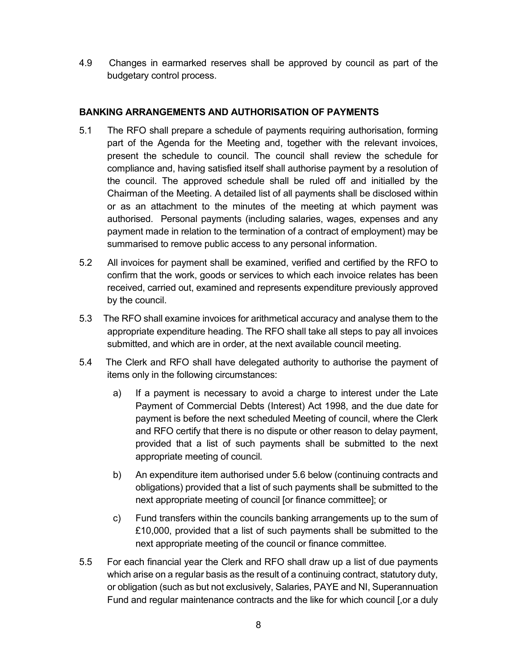4.9 Changes in earmarked reserves shall be approved by council as part of the budgetary control process.

### BANKING ARRANGEMENTS AND AUTHORISATION OF PAYMENTS

- 5.1 The RFO shall prepare a schedule of payments requiring authorisation, forming part of the Agenda for the Meeting and, together with the relevant invoices, present the schedule to council. The council shall review the schedule for compliance and, having satisfied itself shall authorise payment by a resolution of the council. The approved schedule shall be ruled off and initialled by the Chairman of the Meeting. A detailed list of all payments shall be disclosed within or as an attachment to the minutes of the meeting at which payment was authorised. Personal payments (including salaries, wages, expenses and any payment made in relation to the termination of a contract of employment) may be summarised to remove public access to any personal information.
- 5.2 All invoices for payment shall be examined, verified and certified by the RFO to confirm that the work, goods or services to which each invoice relates has been received, carried out, examined and represents expenditure previously approved by the council.
- 5.3 The RFO shall examine invoices for arithmetical accuracy and analyse them to the appropriate expenditure heading. The RFO shall take all steps to pay all invoices submitted, and which are in order, at the next available council meeting.
- 5.4 The Clerk and RFO shall have delegated authority to authorise the payment of items only in the following circumstances:
	- a) If a payment is necessary to avoid a charge to interest under the Late Payment of Commercial Debts (Interest) Act 1998, and the due date for payment is before the next scheduled Meeting of council, where the Clerk and RFO certify that there is no dispute or other reason to delay payment, provided that a list of such payments shall be submitted to the next appropriate meeting of council.
	- b) An expenditure item authorised under 5.6 below (continuing contracts and obligations) provided that a list of such payments shall be submitted to the next appropriate meeting of council [or finance committee]; or
	- c) Fund transfers within the councils banking arrangements up to the sum of £10,000, provided that a list of such payments shall be submitted to the next appropriate meeting of the council or finance committee.
- 5.5 For each financial year the Clerk and RFO shall draw up a list of due payments which arise on a regular basis as the result of a continuing contract, statutory duty, or obligation (such as but not exclusively, Salaries, PAYE and NI, Superannuation Fund and regular maintenance contracts and the like for which council [, or a duly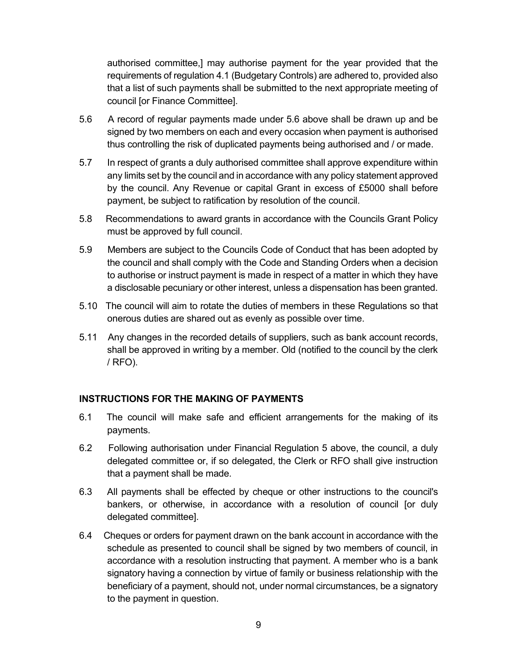authorised committee,] may authorise payment for the year provided that the requirements of regulation 4.1 (Budgetary Controls) are adhered to, provided also that a list of such payments shall be submitted to the next appropriate meeting of council [or Finance Committee].

- 5.6 A record of regular payments made under 5.6 above shall be drawn up and be signed by two members on each and every occasion when payment is authorised thus controlling the risk of duplicated payments being authorised and / or made.
- 5.7 In respect of grants a duly authorised committee shall approve expenditure within any limits set by the council and in accordance with any policy statement approved by the council. Any Revenue or capital Grant in excess of £5000 shall before payment, be subject to ratification by resolution of the council.
- 5.8 Recommendations to award grants in accordance with the Councils Grant Policy must be approved by full council.
- 5.9 Members are subject to the Councils Code of Conduct that has been adopted by the council and shall comply with the Code and Standing Orders when a decision to authorise or instruct payment is made in respect of a matter in which they have a disclosable pecuniary or other interest, unless a dispensation has been granted.
- 5.10 The council will aim to rotate the duties of members in these Regulations so that onerous duties are shared out as evenly as possible over time.
- 5.11 Any changes in the recorded details of suppliers, such as bank account records, shall be approved in writing by a member. Old (notified to the council by the clerk / RFO).

### INSTRUCTIONS FOR THE MAKING OF PAYMENTS

- 6.1 The council will make safe and efficient arrangements for the making of its payments.
- 6.2 Following authorisation under Financial Regulation 5 above, the council, a duly delegated committee or, if so delegated, the Clerk or RFO shall give instruction that a payment shall be made.
- 6.3 All payments shall be effected by cheque or other instructions to the council's bankers, or otherwise, in accordance with a resolution of council [or duly delegated committee].
- 6.4 Cheques or orders for payment drawn on the bank account in accordance with the schedule as presented to council shall be signed by two members of council, in accordance with a resolution instructing that payment. A member who is a bank signatory having a connection by virtue of family or business relationship with the beneficiary of a payment, should not, under normal circumstances, be a signatory to the payment in question.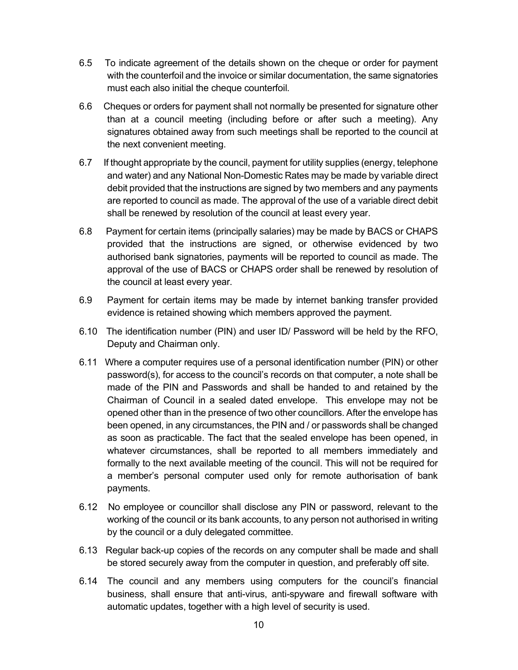- 6.5 To indicate agreement of the details shown on the cheque or order for payment with the counterfoil and the invoice or similar documentation, the same signatories must each also initial the cheque counterfoil.
- 6.6 Cheques or orders for payment shall not normally be presented for signature other than at a council meeting (including before or after such a meeting). Any signatures obtained away from such meetings shall be reported to the council at the next convenient meeting.
- 6.7 If thought appropriate by the council, payment for utility supplies (energy, telephone and water) and any National Non-Domestic Rates may be made by variable direct debit provided that the instructions are signed by two members and any payments are reported to council as made. The approval of the use of a variable direct debit shall be renewed by resolution of the council at least every year.
- 6.8 Payment for certain items (principally salaries) may be made by BACS or CHAPS provided that the instructions are signed, or otherwise evidenced by two authorised bank signatories, payments will be reported to council as made. The approval of the use of BACS or CHAPS order shall be renewed by resolution of the council at least every year.
- 6.9 Payment for certain items may be made by internet banking transfer provided evidence is retained showing which members approved the payment.
- 6.10 The identification number (PIN) and user ID/ Password will be held by the RFO, Deputy and Chairman only.
- 6.11 Where a computer requires use of a personal identification number (PIN) or other password(s), for access to the council's records on that computer, a note shall be made of the PIN and Passwords and shall be handed to and retained by the Chairman of Council in a sealed dated envelope. This envelope may not be opened other than in the presence of two other councillors. After the envelope has been opened, in any circumstances, the PIN and / or passwords shall be changed as soon as practicable. The fact that the sealed envelope has been opened, in whatever circumstances, shall be reported to all members immediately and formally to the next available meeting of the council. This will not be required for a member's personal computer used only for remote authorisation of bank payments.
- 6.12 No employee or councillor shall disclose any PIN or password, relevant to the working of the council or its bank accounts, to any person not authorised in writing by the council or a duly delegated committee.
- 6.13 Regular back-up copies of the records on any computer shall be made and shall be stored securely away from the computer in question, and preferably off site.
- 6.14 The council and any members using computers for the council's financial business, shall ensure that anti-virus, anti-spyware and firewall software with automatic updates, together with a high level of security is used.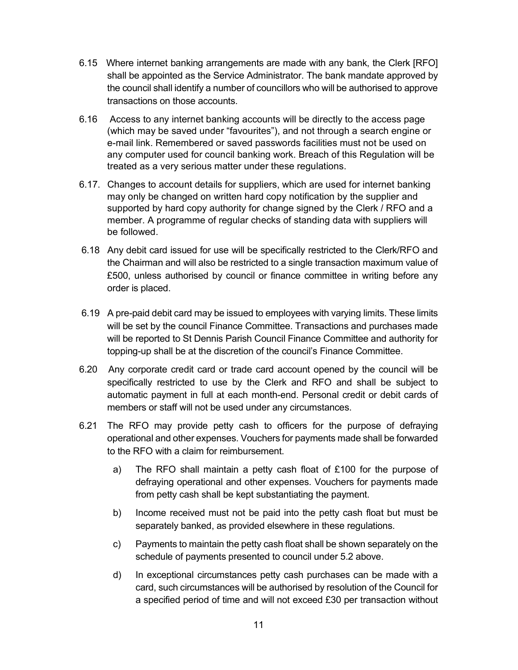- 6.15 Where internet banking arrangements are made with any bank, the Clerk [RFO] shall be appointed as the Service Administrator. The bank mandate approved by the council shall identify a number of councillors who will be authorised to approve transactions on those accounts.
- 6.16 Access to any internet banking accounts will be directly to the access page (which may be saved under "favourites"), and not through a search engine or e-mail link. Remembered or saved passwords facilities must not be used on any computer used for council banking work. Breach of this Regulation will be treated as a very serious matter under these regulations.
- 6.17. Changes to account details for suppliers, which are used for internet banking may only be changed on written hard copy notification by the supplier and supported by hard copy authority for change signed by the Clerk / RFO and a member. A programme of regular checks of standing data with suppliers will be followed.
- 6.18 Any debit card issued for use will be specifically restricted to the Clerk/RFO and the Chairman and will also be restricted to a single transaction maximum value of £500, unless authorised by council or finance committee in writing before any order is placed.
- 6.19 A pre-paid debit card may be issued to employees with varying limits. These limits will be set by the council Finance Committee. Transactions and purchases made will be reported to St Dennis Parish Council Finance Committee and authority for topping-up shall be at the discretion of the council's Finance Committee.
- 6.20 Any corporate credit card or trade card account opened by the council will be specifically restricted to use by the Clerk and RFO and shall be subject to automatic payment in full at each month-end. Personal credit or debit cards of members or staff will not be used under any circumstances.
- 6.21 The RFO may provide petty cash to officers for the purpose of defraying operational and other expenses. Vouchers for payments made shall be forwarded to the RFO with a claim for reimbursement.
	- a) The RFO shall maintain a petty cash float of £100 for the purpose of defraying operational and other expenses. Vouchers for payments made from petty cash shall be kept substantiating the payment.
	- b) Income received must not be paid into the petty cash float but must be separately banked, as provided elsewhere in these regulations.
	- c) Payments to maintain the petty cash float shall be shown separately on the schedule of payments presented to council under 5.2 above.
	- d) In exceptional circumstances petty cash purchases can be made with a card, such circumstances will be authorised by resolution of the Council for a specified period of time and will not exceed £30 per transaction without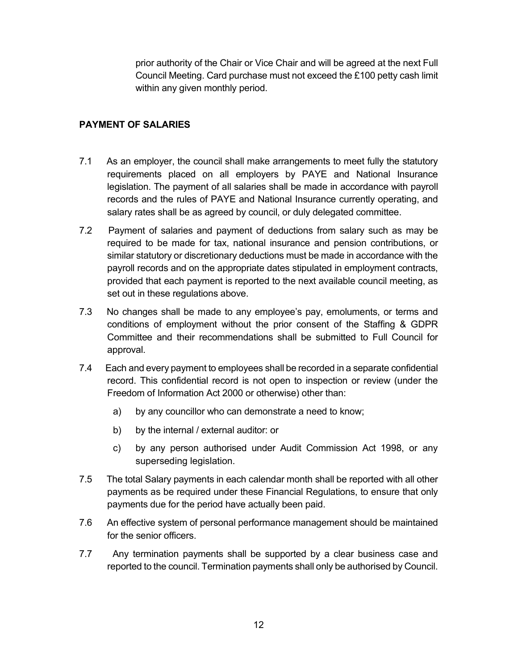prior authority of the Chair or Vice Chair and will be agreed at the next Full Council Meeting. Card purchase must not exceed the £100 petty cash limit within any given monthly period.

### PAYMENT OF SALARIES

- 7.1 As an employer, the council shall make arrangements to meet fully the statutory requirements placed on all employers by PAYE and National Insurance legislation. The payment of all salaries shall be made in accordance with payroll records and the rules of PAYE and National Insurance currently operating, and salary rates shall be as agreed by council, or duly delegated committee.
- 7.2 Payment of salaries and payment of deductions from salary such as may be required to be made for tax, national insurance and pension contributions, or similar statutory or discretionary deductions must be made in accordance with the payroll records and on the appropriate dates stipulated in employment contracts, provided that each payment is reported to the next available council meeting, as set out in these regulations above.
- 7.3 No changes shall be made to any employee's pay, emoluments, or terms and conditions of employment without the prior consent of the Staffing & GDPR Committee and their recommendations shall be submitted to Full Council for approval.
- 7.4 Each and every payment to employees shall be recorded in a separate confidential record. This confidential record is not open to inspection or review (under the Freedom of Information Act 2000 or otherwise) other than:
	- a) by any councillor who can demonstrate a need to know;
	- b) by the internal / external auditor: or
	- c) by any person authorised under Audit Commission Act 1998, or any superseding legislation.
- 7.5 The total Salary payments in each calendar month shall be reported with all other payments as be required under these Financial Regulations, to ensure that only payments due for the period have actually been paid.
- 7.6 An effective system of personal performance management should be maintained for the senior officers.
- 7.7 Any termination payments shall be supported by a clear business case and reported to the council. Termination payments shall only be authorised by Council.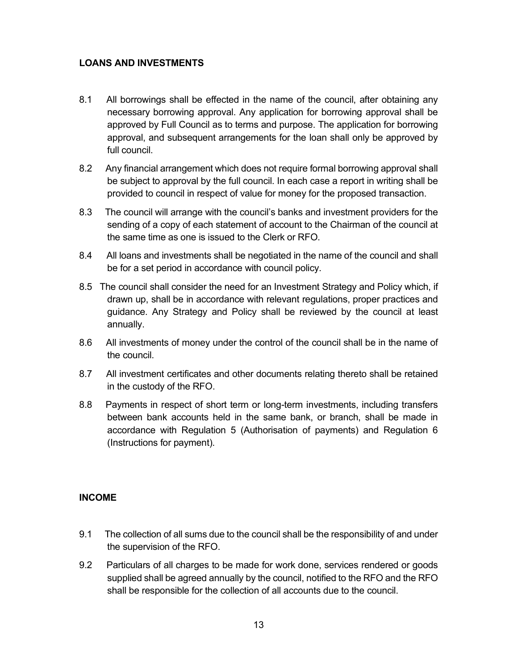### LOANS AND INVESTMENTS

- 8.1 All borrowings shall be effected in the name of the council, after obtaining any necessary borrowing approval. Any application for borrowing approval shall be approved by Full Council as to terms and purpose. The application for borrowing approval, and subsequent arrangements for the loan shall only be approved by full council.
- 8.2 Any financial arrangement which does not require formal borrowing approval shall be subject to approval by the full council. In each case a report in writing shall be provided to council in respect of value for money for the proposed transaction.
- 8.3 The council will arrange with the council's banks and investment providers for the sending of a copy of each statement of account to the Chairman of the council at the same time as one is issued to the Clerk or RFO.
- 8.4 All loans and investments shall be negotiated in the name of the council and shall be for a set period in accordance with council policy.
- 8.5 The council shall consider the need for an Investment Strategy and Policy which, if drawn up, shall be in accordance with relevant regulations, proper practices and guidance. Any Strategy and Policy shall be reviewed by the council at least annually.
- 8.6 All investments of money under the control of the council shall be in the name of the council.
- 8.7 All investment certificates and other documents relating thereto shall be retained in the custody of the RFO.
- 8.8 Payments in respect of short term or long-term investments, including transfers between bank accounts held in the same bank, or branch, shall be made in accordance with Regulation 5 (Authorisation of payments) and Regulation 6 (Instructions for payment).

### INCOME

- 9.1 The collection of all sums due to the council shall be the responsibility of and under the supervision of the RFO.
- 9.2 Particulars of all charges to be made for work done, services rendered or goods supplied shall be agreed annually by the council, notified to the RFO and the RFO shall be responsible for the collection of all accounts due to the council.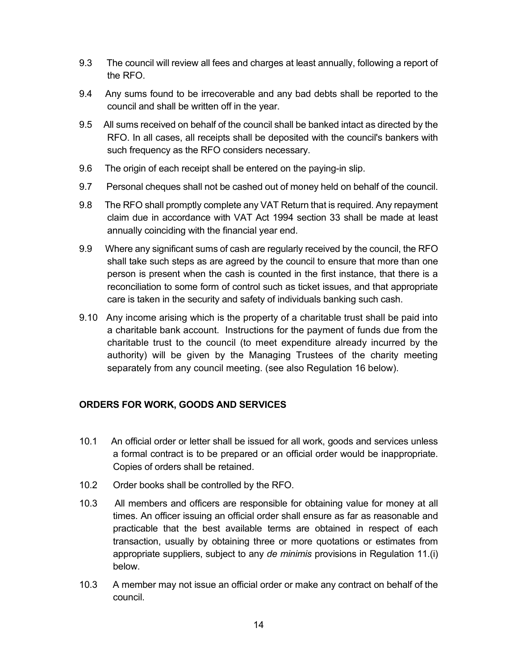- 9.3 The council will review all fees and charges at least annually, following a report of the RFO.
- 9.4 Any sums found to be irrecoverable and any bad debts shall be reported to the council and shall be written off in the year.
- 9.5 All sums received on behalf of the council shall be banked intact as directed by the RFO. In all cases, all receipts shall be deposited with the council's bankers with such frequency as the RFO considers necessary.
- 9.6 The origin of each receipt shall be entered on the paying-in slip.
- 9.7 Personal cheques shall not be cashed out of money held on behalf of the council.
- 9.8 The RFO shall promptly complete any VAT Return that is required. Any repayment claim due in accordance with VAT Act 1994 section 33 shall be made at least annually coinciding with the financial year end.
- 9.9 Where any significant sums of cash are regularly received by the council, the RFO shall take such steps as are agreed by the council to ensure that more than one person is present when the cash is counted in the first instance, that there is a reconciliation to some form of control such as ticket issues, and that appropriate care is taken in the security and safety of individuals banking such cash.
- 9.10 Any income arising which is the property of a charitable trust shall be paid into a charitable bank account. Instructions for the payment of funds due from the charitable trust to the council (to meet expenditure already incurred by the authority) will be given by the Managing Trustees of the charity meeting separately from any council meeting. (see also Regulation 16 below).

### ORDERS FOR WORK, GOODS AND SERVICES

- 10.1 An official order or letter shall be issued for all work, goods and services unless a formal contract is to be prepared or an official order would be inappropriate. Copies of orders shall be retained.
- 10.2 Order books shall be controlled by the RFO.
- 10.3 All members and officers are responsible for obtaining value for money at all times. An officer issuing an official order shall ensure as far as reasonable and practicable that the best available terms are obtained in respect of each transaction, usually by obtaining three or more quotations or estimates from appropriate suppliers, subject to any de minimis provisions in Regulation 11.(i) below.
- 10.3 A member may not issue an official order or make any contract on behalf of the council.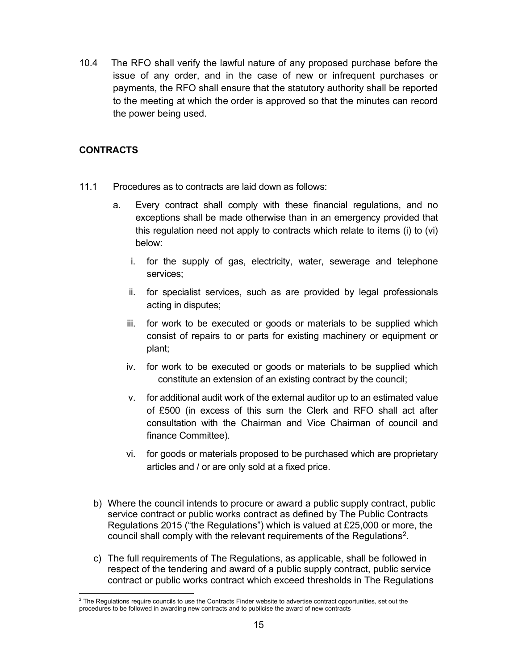10.4 The RFO shall verify the lawful nature of any proposed purchase before the issue of any order, and in the case of new or infrequent purchases or payments, the RFO shall ensure that the statutory authority shall be reported to the meeting at which the order is approved so that the minutes can record the power being used.

### CONTRACTS

- 11.1 Procedures as to contracts are laid down as follows:
	- a. Every contract shall comply with these financial regulations, and no exceptions shall be made otherwise than in an emergency provided that this regulation need not apply to contracts which relate to items (i) to (vi) below:
		- i. for the supply of gas, electricity, water, sewerage and telephone services;
		- ii. for specialist services, such as are provided by legal professionals acting in disputes;
		- iii. for work to be executed or goods or materials to be supplied which consist of repairs to or parts for existing machinery or equipment or plant;
		- iv. for work to be executed or goods or materials to be supplied which constitute an extension of an existing contract by the council;
		- v. for additional audit work of the external auditor up to an estimated value of £500 (in excess of this sum the Clerk and RFO shall act after consultation with the Chairman and Vice Chairman of council and finance Committee).
		- vi. for goods or materials proposed to be purchased which are proprietary articles and / or are only sold at a fixed price.
	- b) Where the council intends to procure or award a public supply contract, public service contract or public works contract as defined by The Public Contracts Regulations 2015 ("the Regulations") which is valued at £25,000 or more, the council shall comply with the relevant requirements of the Regulations<sup>2</sup>.
	- c) The full requirements of The Regulations, as applicable, shall be followed in respect of the tendering and award of a public supply contract, public service contract or public works contract which exceed thresholds in The Regulations

 $2$  The Regulations require councils to use the Contracts Finder website to advertise contract opportunities, set out the procedures to be followed in awarding new contracts and to publicise the award of new contracts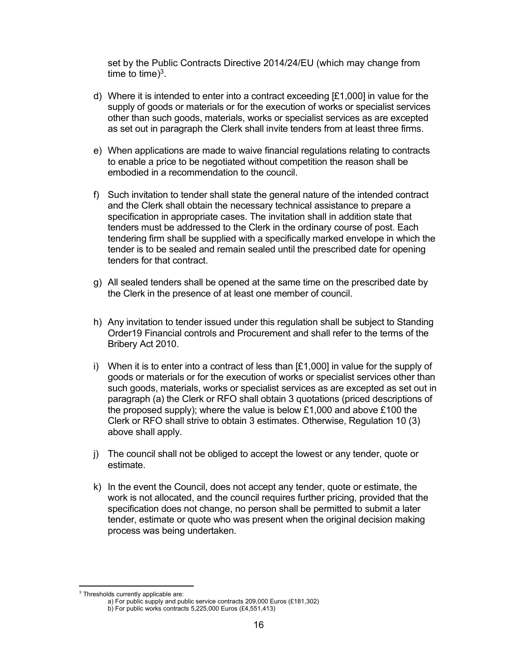set by the Public Contracts Directive 2014/24/EU (which may change from time to time) $3$ .

- d) Where it is intended to enter into a contract exceeding [£1,000] in value for the supply of goods or materials or for the execution of works or specialist services other than such goods, materials, works or specialist services as are excepted as set out in paragraph the Clerk shall invite tenders from at least three firms.
- e) When applications are made to waive financial regulations relating to contracts to enable a price to be negotiated without competition the reason shall be embodied in a recommendation to the council.
- f) Such invitation to tender shall state the general nature of the intended contract and the Clerk shall obtain the necessary technical assistance to prepare a specification in appropriate cases. The invitation shall in addition state that tenders must be addressed to the Clerk in the ordinary course of post. Each tendering firm shall be supplied with a specifically marked envelope in which the tender is to be sealed and remain sealed until the prescribed date for opening tenders for that contract.
- g) All sealed tenders shall be opened at the same time on the prescribed date by the Clerk in the presence of at least one member of council.
- h) Any invitation to tender issued under this regulation shall be subject to Standing Order19 Financial controls and Procurement and shall refer to the terms of the Bribery Act 2010.
- i) When it is to enter into a contract of less than  $[£1,000]$  in value for the supply of goods or materials or for the execution of works or specialist services other than such goods, materials, works or specialist services as are excepted as set out in paragraph (a) the Clerk or RFO shall obtain 3 quotations (priced descriptions of the proposed supply); where the value is below £1,000 and above £100 the Clerk or RFO shall strive to obtain 3 estimates. Otherwise, Regulation 10 (3) above shall apply.
- j) The council shall not be obliged to accept the lowest or any tender, quote or estimate.
- k) In the event the Council, does not accept any tender, quote or estimate, the work is not allocated, and the council requires further pricing, provided that the specification does not change, no person shall be permitted to submit a later tender, estimate or quote who was present when the original decision making process was being undertaken.

<sup>&</sup>lt;sup>3</sup> Thresholds currently applicable are:

a) For public supply and public service contracts 209,000 Euros (£181,302)

b) For public works contracts 5,225,000 Euros (£4,551,413)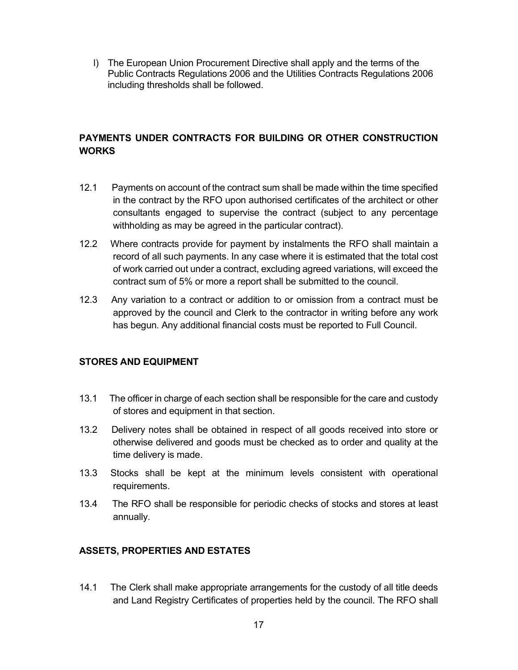l) The European Union Procurement Directive shall apply and the terms of the Public Contracts Regulations 2006 and the Utilities Contracts Regulations 2006 including thresholds shall be followed.

## PAYMENTS UNDER CONTRACTS FOR BUILDING OR OTHER CONSTRUCTION **WORKS**

- 12.1 Payments on account of the contract sum shall be made within the time specified in the contract by the RFO upon authorised certificates of the architect or other consultants engaged to supervise the contract (subject to any percentage withholding as may be agreed in the particular contract).
- 12.2 Where contracts provide for payment by instalments the RFO shall maintain a record of all such payments. In any case where it is estimated that the total cost of work carried out under a contract, excluding agreed variations, will exceed the contract sum of 5% or more a report shall be submitted to the council.
- 12.3 Any variation to a contract or addition to or omission from a contract must be approved by the council and Clerk to the contractor in writing before any work has begun. Any additional financial costs must be reported to Full Council.

### STORES AND EQUIPMENT

- 13.1 The officer in charge of each section shall be responsible for the care and custody of stores and equipment in that section.
- 13.2 Delivery notes shall be obtained in respect of all goods received into store or otherwise delivered and goods must be checked as to order and quality at the time delivery is made.
- 13.3 Stocks shall be kept at the minimum levels consistent with operational requirements.
- 13.4 The RFO shall be responsible for periodic checks of stocks and stores at least annually.

### ASSETS, PROPERTIES AND ESTATES

14.1 The Clerk shall make appropriate arrangements for the custody of all title deeds and Land Registry Certificates of properties held by the council. The RFO shall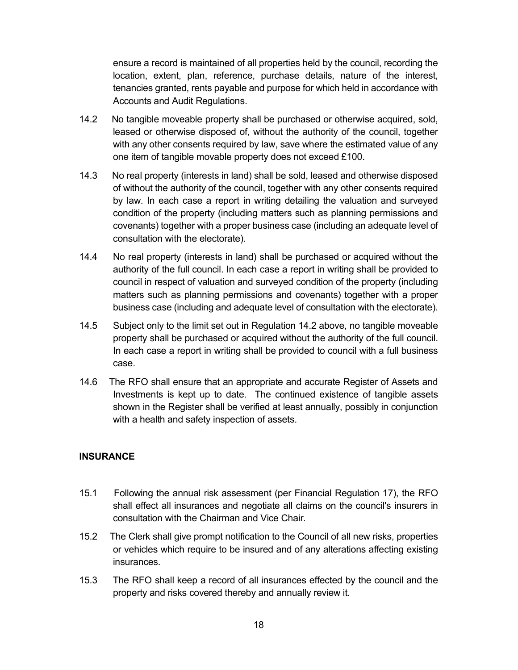ensure a record is maintained of all properties held by the council, recording the location, extent, plan, reference, purchase details, nature of the interest, tenancies granted, rents payable and purpose for which held in accordance with Accounts and Audit Regulations.

- 14.2 No tangible moveable property shall be purchased or otherwise acquired, sold, leased or otherwise disposed of, without the authority of the council, together with any other consents required by law, save where the estimated value of any one item of tangible movable property does not exceed £100.
- 14.3 No real property (interests in land) shall be sold, leased and otherwise disposed of without the authority of the council, together with any other consents required by law. In each case a report in writing detailing the valuation and surveyed condition of the property (including matters such as planning permissions and covenants) together with a proper business case (including an adequate level of consultation with the electorate).
- 14.4 No real property (interests in land) shall be purchased or acquired without the authority of the full council. In each case a report in writing shall be provided to council in respect of valuation and surveyed condition of the property (including matters such as planning permissions and covenants) together with a proper business case (including and adequate level of consultation with the electorate).
- 14.5 Subject only to the limit set out in Regulation 14.2 above, no tangible moveable property shall be purchased or acquired without the authority of the full council. In each case a report in writing shall be provided to council with a full business case.
- 14.6 The RFO shall ensure that an appropriate and accurate Register of Assets and Investments is kept up to date. The continued existence of tangible assets shown in the Register shall be verified at least annually, possibly in conjunction with a health and safety inspection of assets.

#### **INSURANCE**

- 15.1 Following the annual risk assessment (per Financial Regulation 17), the RFO shall effect all insurances and negotiate all claims on the council's insurers in consultation with the Chairman and Vice Chair.
- 15.2 The Clerk shall give prompt notification to the Council of all new risks, properties or vehicles which require to be insured and of any alterations affecting existing insurances.
- 15.3 The RFO shall keep a record of all insurances effected by the council and the property and risks covered thereby and annually review it.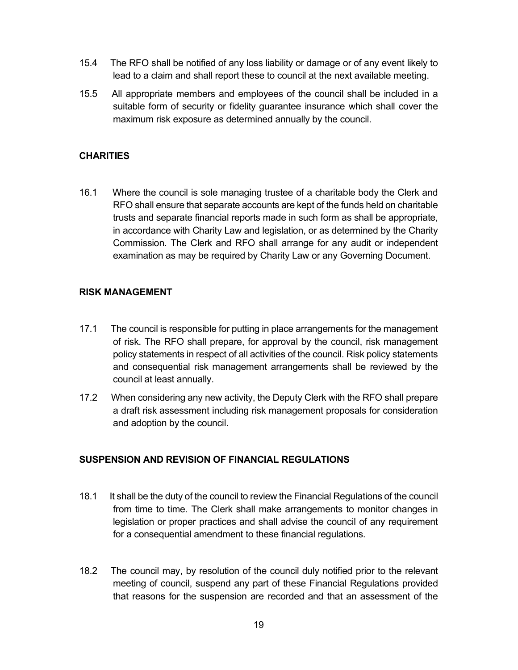- 15.4 The RFO shall be notified of any loss liability or damage or of any event likely to lead to a claim and shall report these to council at the next available meeting.
- 15.5 All appropriate members and employees of the council shall be included in a suitable form of security or fidelity guarantee insurance which shall cover the maximum risk exposure as determined annually by the council.

### **CHARITIES**

16.1 Where the council is sole managing trustee of a charitable body the Clerk and RFO shall ensure that separate accounts are kept of the funds held on charitable trusts and separate financial reports made in such form as shall be appropriate, in accordance with Charity Law and legislation, or as determined by the Charity Commission. The Clerk and RFO shall arrange for any audit or independent examination as may be required by Charity Law or any Governing Document.

### RISK MANAGEMENT

- 17.1 The council is responsible for putting in place arrangements for the management of risk. The RFO shall prepare, for approval by the council, risk management policy statements in respect of all activities of the council. Risk policy statements and consequential risk management arrangements shall be reviewed by the council at least annually.
- 17.2 When considering any new activity, the Deputy Clerk with the RFO shall prepare a draft risk assessment including risk management proposals for consideration and adoption by the council.

### SUSPENSION AND REVISION OF FINANCIAL REGULATIONS

- 18.1 It shall be the duty of the council to review the Financial Regulations of the council from time to time. The Clerk shall make arrangements to monitor changes in legislation or proper practices and shall advise the council of any requirement for a consequential amendment to these financial regulations.
- 18.2 The council may, by resolution of the council duly notified prior to the relevant meeting of council, suspend any part of these Financial Regulations provided that reasons for the suspension are recorded and that an assessment of the